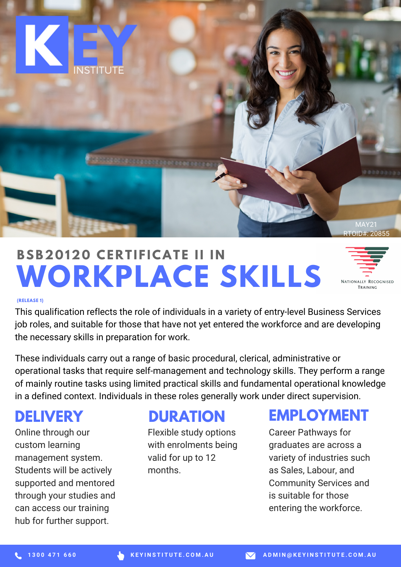

# **WORKPLACE SKILLS BSB20 120 CE R T I F ICAT E II I N**



#### **(RELEASE 1)**

This qualification reflects the role of individuals in a variety of entry-level Business Services job roles, and suitable for those that have not yet entered the workforce and are developing the necessary skills in preparation for work.

These individuals carry out a range of basic procedural, clerical, administrative or operational tasks that require self-management and technology skills. They perform a range of mainly routine tasks using limited practical skills and fundamental operational knowledge in a defined context. Individuals in these roles generally work under direct supervision.

#### **DELIVERY**

Online through our custom learning management system. Students will be actively supported and mentored through your studies and can access our training hub for further support.

#### **DURATION**

Flexible study options with enrolments being valid for up to 12 months.

#### **EMPLOYMENT**

Career Pathways for graduates are across a variety of industries such as Sales, Labour, and Community Services and is suitable for those entering the workforce.